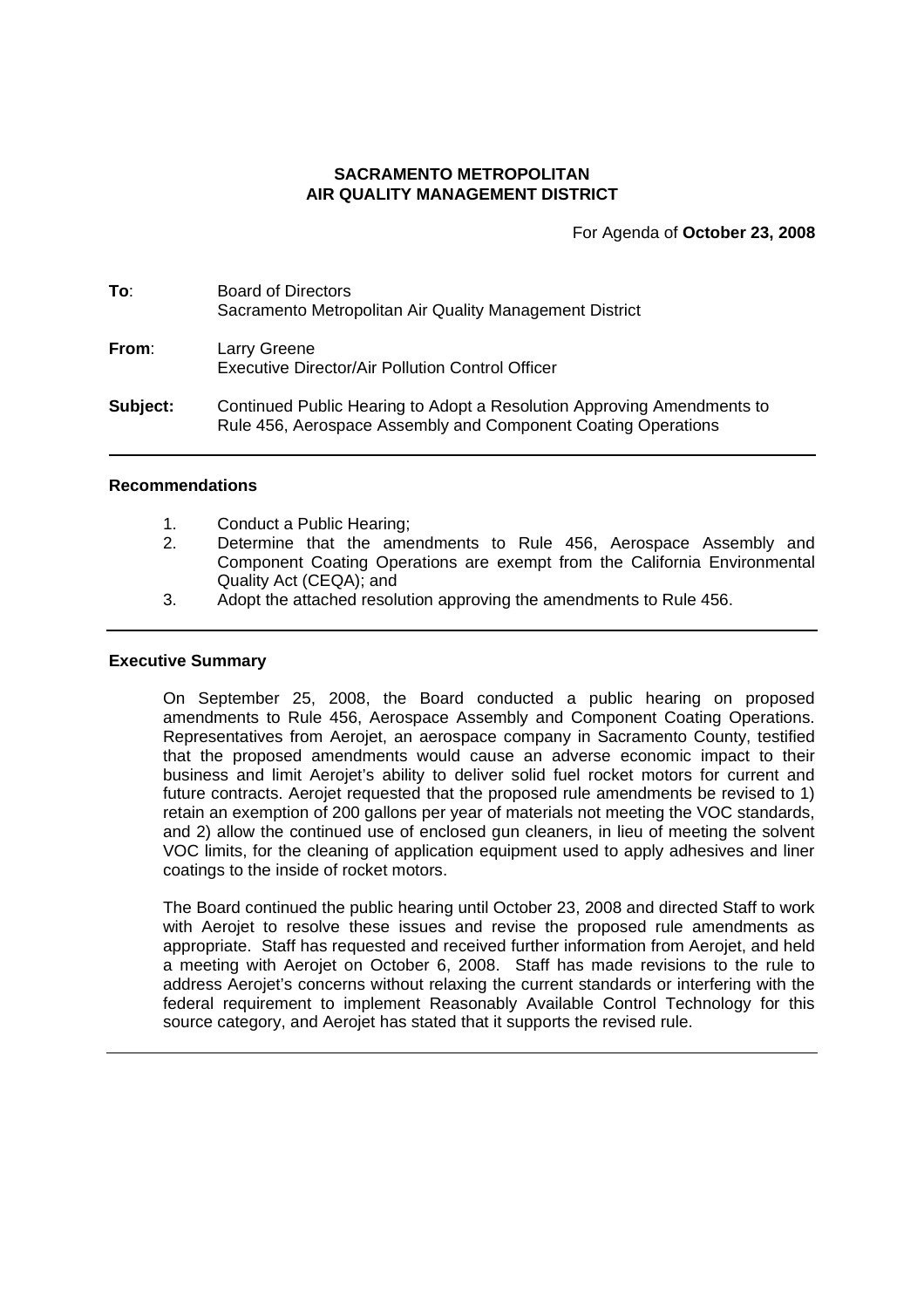## **SACRAMENTO METROPOLITAN AIR QUALITY MANAGEMENT DISTRICT**

For Agenda of **October 23, 2008**

| To:      | <b>Board of Directors</b><br>Sacramento Metropolitan Air Quality Management District                                                    |
|----------|-----------------------------------------------------------------------------------------------------------------------------------------|
| From:    | Larry Greene<br>Executive Director/Air Pollution Control Officer                                                                        |
| Subject: | Continued Public Hearing to Adopt a Resolution Approving Amendments to<br>Rule 456, Aerospace Assembly and Component Coating Operations |

#### **Recommendations**

- 1. Conduct a Public Hearing;
- 2. Determine that the amendments to Rule 456, Aerospace Assembly and Component Coating Operations are exempt from the California Environmental Quality Act (CEQA); and
- 3. Adopt the attached resolution approving the amendments to Rule 456.

#### **Executive Summary**

On September 25, 2008, the Board conducted a public hearing on proposed amendments to Rule 456, Aerospace Assembly and Component Coating Operations. Representatives from Aerojet, an aerospace company in Sacramento County, testified that the proposed amendments would cause an adverse economic impact to their business and limit Aerojet's ability to deliver solid fuel rocket motors for current and future contracts. Aerojet requested that the proposed rule amendments be revised to 1) retain an exemption of 200 gallons per year of materials not meeting the VOC standards, and 2) allow the continued use of enclosed gun cleaners, in lieu of meeting the solvent VOC limits, for the cleaning of application equipment used to apply adhesives and liner coatings to the inside of rocket motors.

The Board continued the public hearing until October 23, 2008 and directed Staff to work with Aerojet to resolve these issues and revise the proposed rule amendments as appropriate. Staff has requested and received further information from Aerojet, and held a meeting with Aerojet on October 6, 2008. Staff has made revisions to the rule to address Aerojet's concerns without relaxing the current standards or interfering with the federal requirement to implement Reasonably Available Control Technology for this source category, and Aerojet has stated that it supports the revised rule.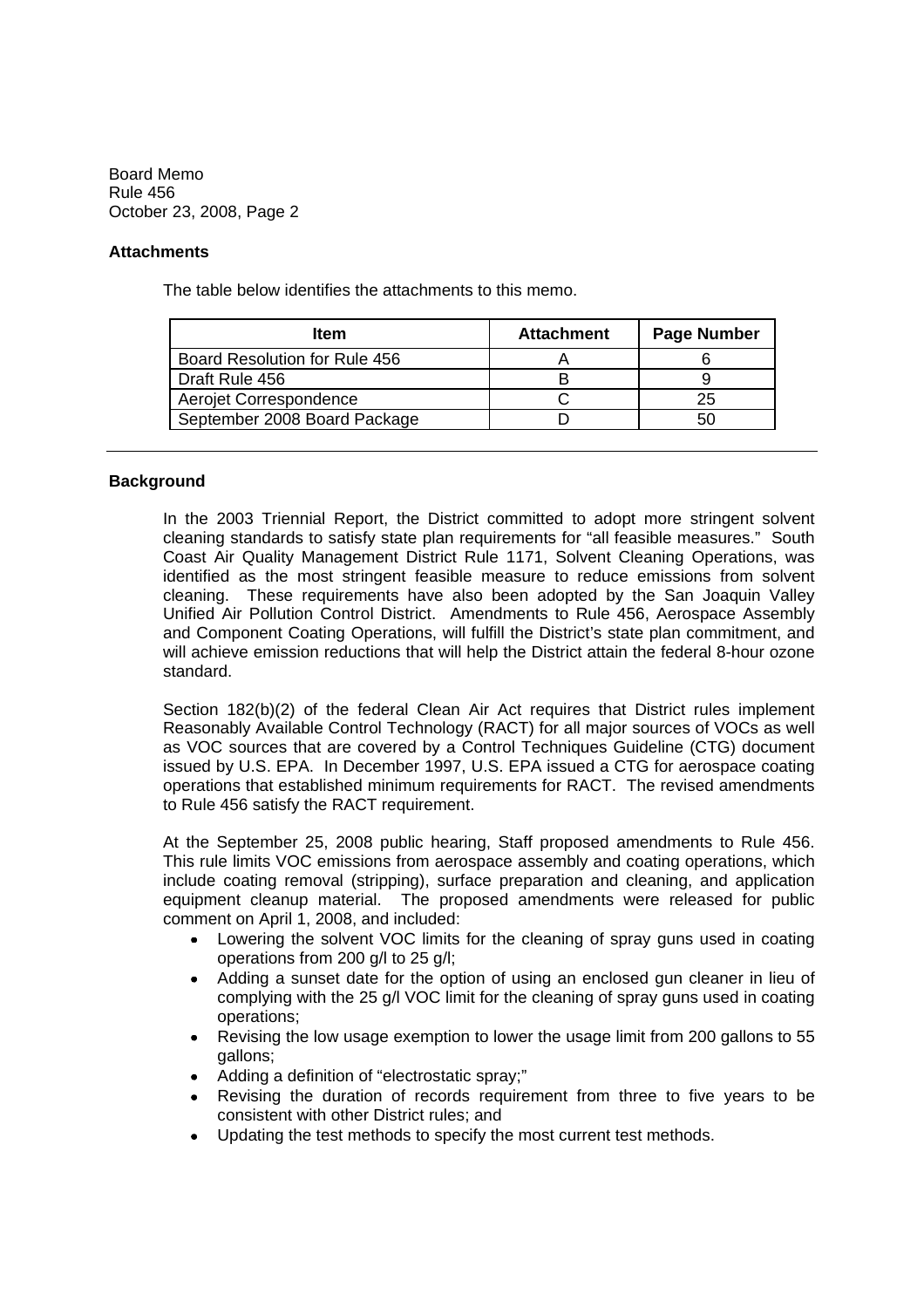## **Attachments**

The table below identifies the attachments to this memo.

| <b>Item</b>                   | <b>Attachment</b> | <b>Page Number</b> |
|-------------------------------|-------------------|--------------------|
| Board Resolution for Rule 456 |                   |                    |
| Draft Rule 456                |                   |                    |
| Aerojet Correspondence        |                   | 25                 |
| September 2008 Board Package  |                   |                    |

# **Background**

In the 2003 Triennial Report, the District committed to adopt more stringent solvent cleaning standards to satisfy state plan requirements for "all feasible measures." South Coast Air Quality Management District Rule 1171, Solvent Cleaning Operations, was identified as the most stringent feasible measure to reduce emissions from solvent cleaning. These requirements have also been adopted by the San Joaquin Valley Unified Air Pollution Control District. Amendments to Rule 456, Aerospace Assembly and Component Coating Operations, will fulfill the District's state plan commitment, and will achieve emission reductions that will help the District attain the federal 8-hour ozone standard.

Section 182(b)(2) of the federal Clean Air Act requires that District rules implement Reasonably Available Control Technology (RACT) for all major sources of VOCs as well as VOC sources that are covered by a Control Techniques Guideline (CTG) document issued by U.S. EPA. In December 1997, U.S. EPA issued a CTG for aerospace coating operations that established minimum requirements for RACT. The revised amendments to Rule 456 satisfy the RACT requirement.

At the September 25, 2008 public hearing, Staff proposed amendments to Rule 456. This rule limits VOC emissions from aerospace assembly and coating operations, which include coating removal (stripping), surface preparation and cleaning, and application equipment cleanup material. The proposed amendments were released for public comment on April 1, 2008, and included:

- Lowering the solvent VOC limits for the cleaning of spray guns used in coating operations from 200 g/l to 25 g/l;
- Adding a sunset date for the option of using an enclosed gun cleaner in lieu of  $\bullet$ complying with the 25 g/l VOC limit for the cleaning of spray guns used in coating operations;
- $\bullet$ Revising the low usage exemption to lower the usage limit from 200 gallons to 55 gallons;
- Adding a definition of "electrostatic spray;"
- $\bullet$ Revising the duration of records requirement from three to five years to be consistent with other District rules; and
- Updating the test methods to specify the most current test methods.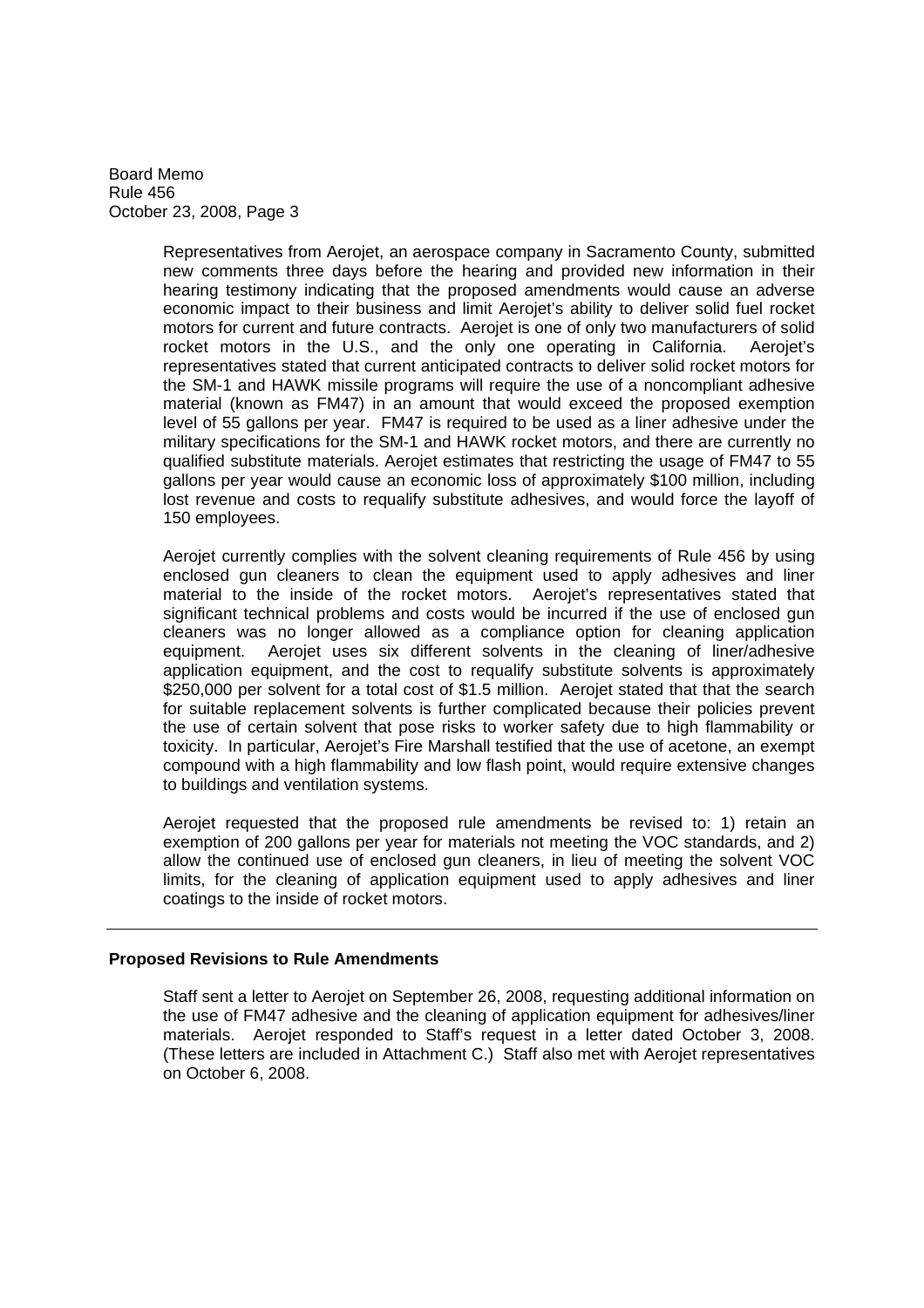> Representatives from Aerojet, an aerospace company in Sacramento County, submitted new comments three days before the hearing and provided new information in their hearing testimony indicating that the proposed amendments would cause an adverse economic impact to their business and limit Aerojet's ability to deliver solid fuel rocket motors for current and future contracts. Aerojet is one of only two manufacturers of solid rocket motors in the U.S., and the only one operating in California. Aerojet's representatives stated that current anticipated contracts to deliver solid rocket motors for the SM-1 and HAWK missile programs will require the use of a noncompliant adhesive material (known as FM47) in an amount that would exceed the proposed exemption level of 55 gallons per year. FM47 is required to be used as a liner adhesive under the military specifications for the SM-1 and HAWK rocket motors, and there are currently no qualified substitute materials. Aerojet estimates that restricting the usage of FM47 to 55 gallons per year would cause an economic loss of approximately \$100 million, including lost revenue and costs to requalify substitute adhesives, and would force the layoff of 150 employees.

> Aerojet currently complies with the solvent cleaning requirements of Rule 456 by using enclosed gun cleaners to clean the equipment used to apply adhesives and liner material to the inside of the rocket motors. Aerojet's representatives stated that significant technical problems and costs would be incurred if the use of enclosed gun cleaners was no longer allowed as a compliance option for cleaning application equipment. Aerojet uses six different solvents in the cleaning of liner/adhesive application equipment, and the cost to requalify substitute solvents is approximately \$250,000 per solvent for a total cost of \$1.5 million. Aerojet stated that that the search for suitable replacement solvents is further complicated because their policies prevent the use of certain solvent that pose risks to worker safety due to high flammability or toxicity. In particular, Aerojet's Fire Marshall testified that the use of acetone, an exempt compound with a high flammability and low flash point, would require extensive changes to buildings and ventilation systems.

> Aerojet requested that the proposed rule amendments be revised to: 1) retain an exemption of 200 gallons per year for materials not meeting the VOC standards, and 2) allow the continued use of enclosed gun cleaners, in lieu of meeting the solvent VOC limits, for the cleaning of application equipment used to apply adhesives and liner coatings to the inside of rocket motors.

## **Proposed Revisions to Rule Amendments**

Staff sent a letter to Aerojet on September 26, 2008, requesting additional information on the use of FM47 adhesive and the cleaning of application equipment for adhesives/liner materials. Aerojet responded to Staff's request in a letter dated October 3, 2008. (These letters are included in Attachment C.) Staff also met with Aerojet representatives on October 6, 2008.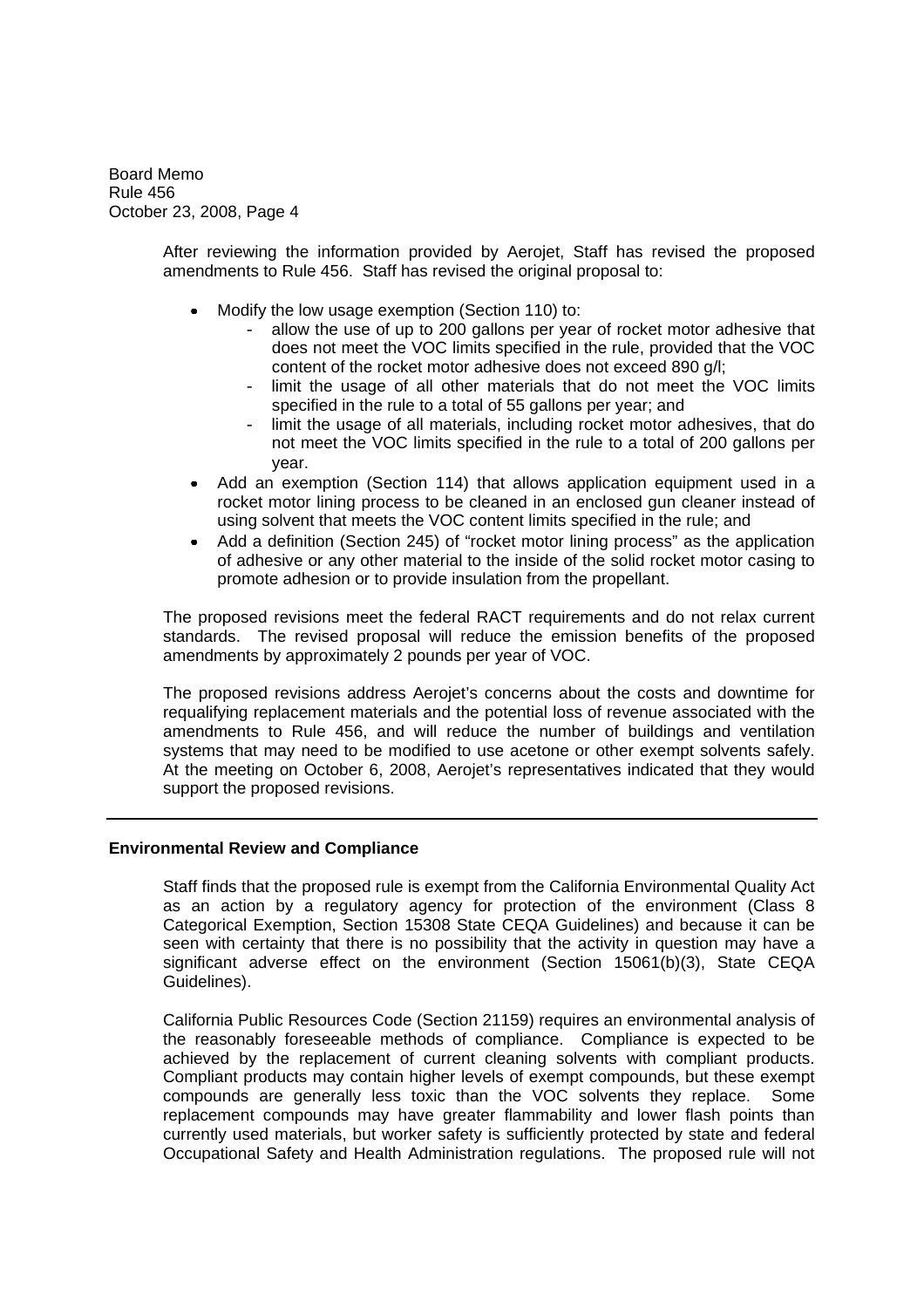> After reviewing the information provided by Aerojet, Staff has revised the proposed amendments to Rule 456. Staff has revised the original proposal to:

- Modify the low usage exemption (Section 110) to:
	- allow the use of up to 200 gallons per year of rocket motor adhesive that does not meet the VOC limits specified in the rule, provided that the VOC content of the rocket motor adhesive does not exceed 890 g/l;
	- limit the usage of all other materials that do not meet the VOC limits specified in the rule to a total of 55 gallons per year; and
	- limit the usage of all materials, including rocket motor adhesives, that do not meet the VOC limits specified in the rule to a total of 200 gallons per year.
- $\bullet$ Add an exemption (Section 114) that allows application equipment used in a rocket motor lining process to be cleaned in an enclosed gun cleaner instead of using solvent that meets the VOC content limits specified in the rule; and
- Add a definition (Section 245) of "rocket motor lining process" as the application of adhesive or any other material to the inside of the solid rocket motor casing to promote adhesion or to provide insulation from the propellant.

The proposed revisions meet the federal RACT requirements and do not relax current standards. The revised proposal will reduce the emission benefits of the proposed amendments by approximately 2 pounds per year of VOC.

The proposed revisions address Aerojet's concerns about the costs and downtime for requalifying replacement materials and the potential loss of revenue associated with the amendments to Rule 456, and will reduce the number of buildings and ventilation systems that may need to be modified to use acetone or other exempt solvents safely. At the meeting on October 6, 2008, Aerojet's representatives indicated that they would support the proposed revisions.

## **Environmental Review and Compliance**

Staff finds that the proposed rule is exempt from the California Environmental Quality Act as an action by a regulatory agency for protection of the environment (Class 8 Categorical Exemption, Section 15308 State CEQA Guidelines) and because it can be seen with certainty that there is no possibility that the activity in question may have a significant adverse effect on the environment (Section 15061(b)(3), State CEQA Guidelines).

California Public Resources Code (Section 21159) requires an environmental analysis of the reasonably foreseeable methods of compliance. Compliance is expected to be achieved by the replacement of current cleaning solvents with compliant products. Compliant products may contain higher levels of exempt compounds, but these exempt compounds are generally less toxic than the VOC solvents they replace. Some replacement compounds may have greater flammability and lower flash points than currently used materials, but worker safety is sufficiently protected by state and federal Occupational Safety and Health Administration regulations. The proposed rule will not